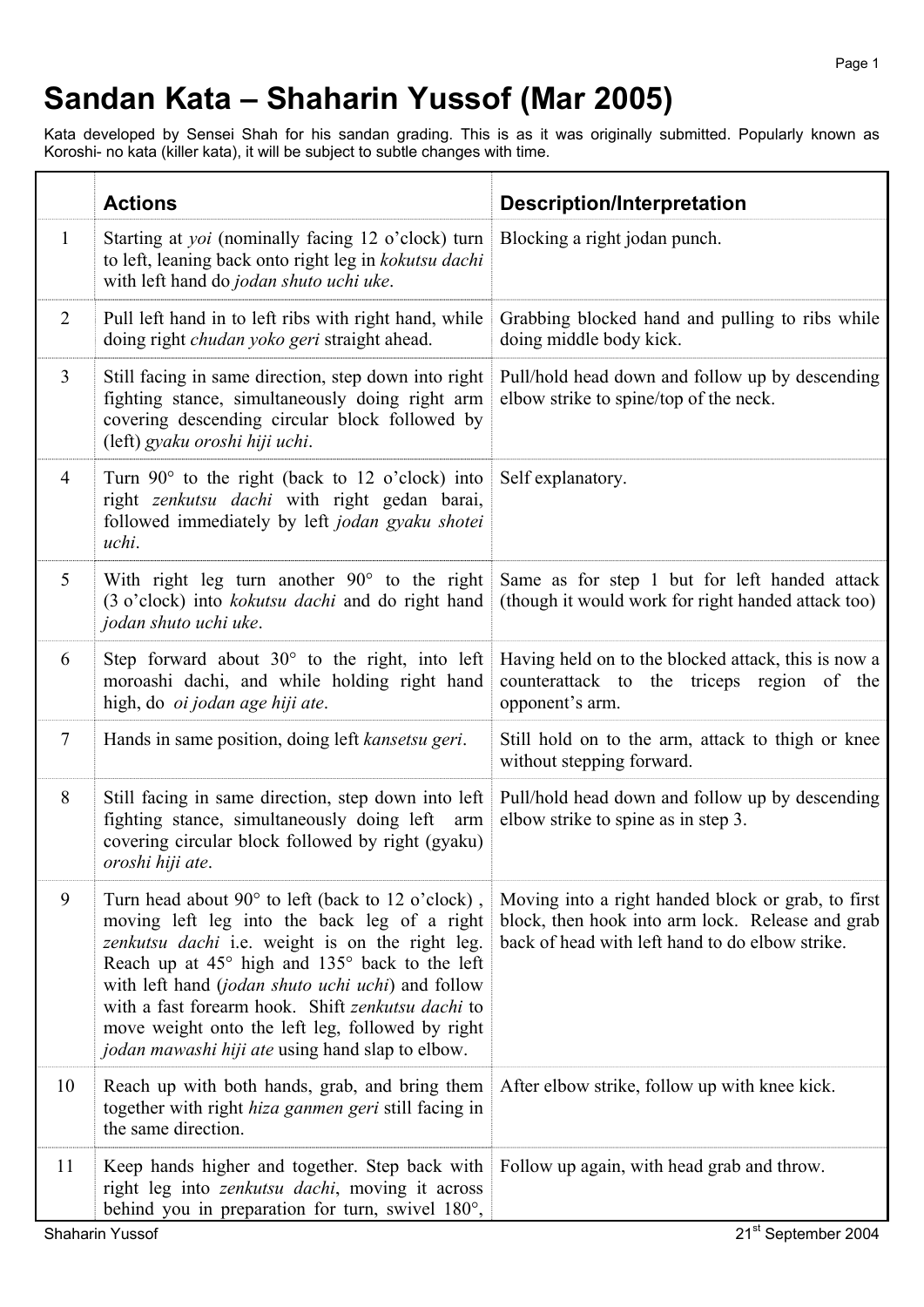## **Sandan Kata – Shaharin Yussof (Mar 2005)**

Kata developed by Sensei Shah for his sandan grading. This is as it was originally submitted. Popularly known as Koroshi- no kata (killer kata), it will be subject to subtle changes with time.

|                | <b>Actions</b>                                                                                                                                                                                                                                                                                                                                                                                                                         | <b>Description/Interpretation</b>                                                                                                                         |
|----------------|----------------------------------------------------------------------------------------------------------------------------------------------------------------------------------------------------------------------------------------------------------------------------------------------------------------------------------------------------------------------------------------------------------------------------------------|-----------------------------------------------------------------------------------------------------------------------------------------------------------|
| $\mathbf{1}$   | Starting at <i>yoi</i> (nominally facing 12 o'clock) turn<br>to left, leaning back onto right leg in kokutsu dachi<br>with left hand do jodan shuto uchi uke.                                                                                                                                                                                                                                                                          | Blocking a right jodan punch.                                                                                                                             |
| $\overline{2}$ | Pull left hand in to left ribs with right hand, while<br>doing right <i>chudan yoko geri</i> straight ahead.                                                                                                                                                                                                                                                                                                                           | Grabbing blocked hand and pulling to ribs while<br>doing middle body kick.                                                                                |
| $\overline{3}$ | Still facing in same direction, step down into right<br>fighting stance, simultaneously doing right arm<br>covering descending circular block followed by<br>(left) gyaku oroshi hiji uchi.                                                                                                                                                                                                                                            | Pull/hold head down and follow up by descending<br>elbow strike to spine/top of the neck.                                                                 |
| $\overline{4}$ | Turn $90^\circ$ to the right (back to 12 o'clock) into<br>right zenkutsu dachi with right gedan barai,<br>followed immediately by left jodan gyaku shotei<br>uchi.                                                                                                                                                                                                                                                                     | Self explanatory.                                                                                                                                         |
| 5              | With right leg turn another $90^{\circ}$ to the right<br>(3 o'clock) into <i>kokutsu dachi</i> and do right hand<br>jodan shuto uchi uke.                                                                                                                                                                                                                                                                                              | Same as for step 1 but for left handed attack<br>(though it would work for right handed attack too)                                                       |
| 6              | Step forward about $30^{\circ}$ to the right, into left<br>moroashi dachi, and while holding right hand<br>high, do <i>oi jodan age hiji ate</i> .                                                                                                                                                                                                                                                                                     | Having held on to the blocked attack, this is now a<br>counterattack to the triceps region of the<br>opponent's arm.                                      |
| $\tau$         | Hands in same position, doing left kansetsu geri.                                                                                                                                                                                                                                                                                                                                                                                      | Still hold on to the arm, attack to thigh or knee<br>without stepping forward.                                                                            |
| 8              | Still facing in same direction, step down into left<br>fighting stance, simultaneously doing left arm<br>covering circular block followed by right (gyaku)<br>oroshi hiji ate.                                                                                                                                                                                                                                                         | Pull/hold head down and follow up by descending<br>elbow strike to spine as in step 3.                                                                    |
| 9              | Turn head about $90^\circ$ to left (back to 12 o'clock),<br>moving left leg into the back leg of a right<br>zenkutsu dachi i.e. weight is on the right leg.<br>Reach up at 45° high and 135° back to the left<br>with left hand (jodan shuto uchi uchi) and follow<br>with a fast forearm hook. Shift zenkutsu dachi to<br>move weight onto the left leg, followed by right<br><i>jodan mawashi hiji ate</i> using hand slap to elbow. | Moving into a right handed block or grab, to first<br>block, then hook into arm lock. Release and grab<br>back of head with left hand to do elbow strike. |
| 10             | Reach up with both hands, grab, and bring them<br>together with right hiza ganmen geri still facing in<br>the same direction.                                                                                                                                                                                                                                                                                                          | After elbow strike, follow up with knee kick.                                                                                                             |
| 11             | Keep hands higher and together. Step back with<br>right leg into zenkutsu dachi, moving it across<br>behind you in preparation for turn, swivel 180°,                                                                                                                                                                                                                                                                                  | Follow up again, with head grab and throw.                                                                                                                |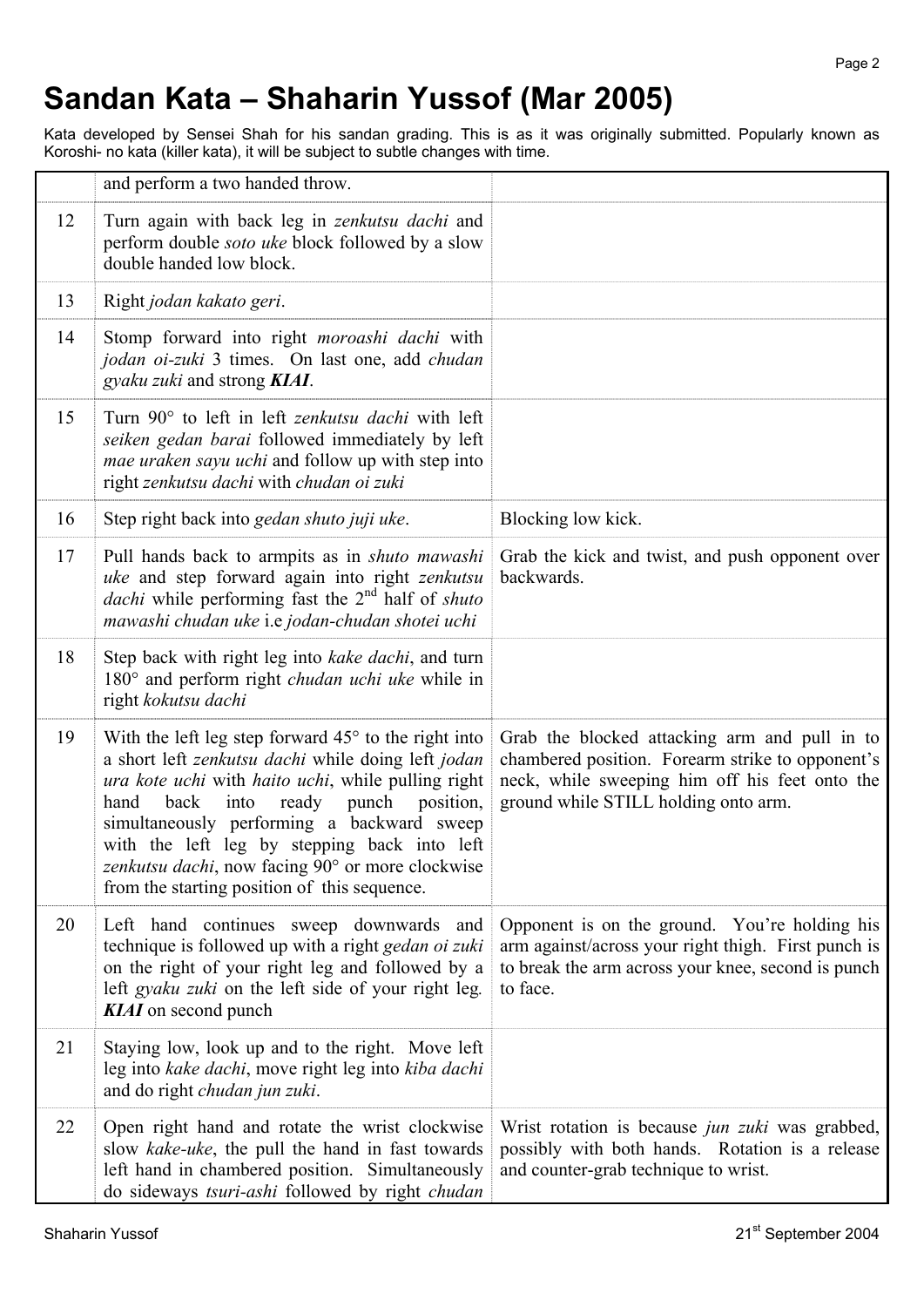## **Sandan Kata – Shaharin Yussof (Mar 2005)**

Kata developed by Sensei Shah for his sandan grading. This is as it was originally submitted. Popularly known as Koroshi- no kata (killer kata), it will be subject to subtle changes with time.

|    | and perform a two handed throw.                                                                                                                                                                                                                                                                                                                                                                                              |                                                                                                                                                                                             |
|----|------------------------------------------------------------------------------------------------------------------------------------------------------------------------------------------------------------------------------------------------------------------------------------------------------------------------------------------------------------------------------------------------------------------------------|---------------------------------------------------------------------------------------------------------------------------------------------------------------------------------------------|
| 12 | Turn again with back leg in <i>zenkutsu dachi</i> and<br>perform double <i>soto uke</i> block followed by a slow<br>double handed low block.                                                                                                                                                                                                                                                                                 |                                                                                                                                                                                             |
| 13 | Right jodan kakato geri.                                                                                                                                                                                                                                                                                                                                                                                                     |                                                                                                                                                                                             |
| 14 | Stomp forward into right moroashi dachi with<br>jodan oi-zuki 3 times. On last one, add chudan<br>gyaku zuki and strong KIAI.                                                                                                                                                                                                                                                                                                |                                                                                                                                                                                             |
| 15 | Turn 90° to left in left <i>zenkutsu dachi</i> with left<br>seiken gedan barai followed immediately by left<br><i>mae uraken sayu uchi</i> and follow up with step into<br>right zenkutsu dachi with chudan oi zuki                                                                                                                                                                                                          |                                                                                                                                                                                             |
| 16 | Step right back into gedan shuto juji uke.                                                                                                                                                                                                                                                                                                                                                                                   | Blocking low kick.                                                                                                                                                                          |
| 17 | Pull hands back to armpits as in shuto mawashi<br>uke and step forward again into right zenkutsu<br>dachi while performing fast the 2 <sup>nd</sup> half of shuto<br>mawashi chudan uke i.e jodan-chudan shotei uchi                                                                                                                                                                                                         | Grab the kick and twist, and push opponent over<br>backwards.                                                                                                                               |
| 18 | Step back with right leg into kake dachi, and turn<br>180° and perform right <i>chudan uchi uke</i> while in<br>right kokutsu dachi                                                                                                                                                                                                                                                                                          |                                                                                                                                                                                             |
| 19 | With the left leg step forward $45^{\circ}$ to the right into<br>a short left zenkutsu dachi while doing left jodan<br>ura kote uchi with haito uchi, while pulling right<br>hand<br>back<br>into<br>ready punch position,<br>simultaneously performing a backward sweep<br>with the left leg by stepping back into left<br>zenkutsu dachi, now facing 90° or more clockwise<br>from the starting position of this sequence. | Grab the blocked attacking arm and pull in to<br>chambered position. Forearm strike to opponent's<br>neck, while sweeping him off his feet onto the<br>ground while STILL holding onto arm. |
| 20 | Left hand continues sweep downwards and<br>technique is followed up with a right gedan oi zuki<br>on the right of your right leg and followed by a<br>left <i>gyaku zuki</i> on the left side of your right leg.<br><b>KIAI</b> on second punch                                                                                                                                                                              | Opponent is on the ground. You're holding his<br>arm against/across your right thigh. First punch is<br>to break the arm across your knee, second is punch<br>to face.                      |
| 21 | Staying low, look up and to the right. Move left<br>leg into kake dachi, move right leg into kiba dachi<br>and do right chudan jun zuki.                                                                                                                                                                                                                                                                                     |                                                                                                                                                                                             |
| 22 | Open right hand and rotate the wrist clockwise<br>slow kake-uke, the pull the hand in fast towards<br>left hand in chambered position. Simultaneously<br>do sideways tsuri-ashi followed by right chudan                                                                                                                                                                                                                     | Wrist rotation is because <i>jun zuki</i> was grabbed,<br>possibly with both hands. Rotation is a release<br>and counter-grab technique to wrist.                                           |